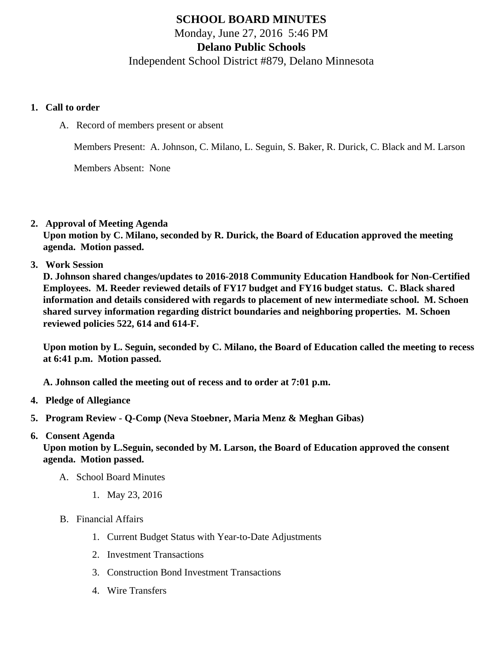## SCHOOL BOARD MINUTES Monday, June 27, 2016 5:46 PM Delano Public Schools Independent School District #879, Delano Minnesota

- 1. Call to order
	- A. Record of members present or absent

Members Present: A. Johnson, C. Milano, L. Seguin, S. Baker, R. Durick, C. Black and M. Larson

Members Absent: None

2. Approval of Meeting Agenda

Upon motion by C. Milano, seconded by R. Durick, the Board of Education approved the meeting agenda. Motion passed.

3. Work Session

D. Johnson shared changes/updates to 2016-2018 Community Education Handbook for Non-Certified Employees. M. Reeder reviewed details of FY17 budget and FY16 budget status. C. Black shared information and details considered with regards to placement of new intermediate school. M. Schoen shared survey information regarding district boundaries and neighboring properties. M. Schoen reviewed policies 522, 614 and 614-F.

Upon motion by L. Seguin, seconded by C. Milano, the Board of Education called the meeting to recess at 6:41 p.m. Motion passed.

A. Johnson called the meeting out of recess and to order at 7:01 p.m.

- 4. Pledge of Allegiance
- 5. Program Review - [Q-Comp](/docs/district/District_Forms/Q_Comp_Program_Review_15-16.pdf) (Neva Stoebner, Maria Menz & Meghan Gibas)
- 6. Consent Agenda

Upon motion by L.Seguin, seconded by M. Larson, the Board of Education approved the consent agenda. Motion passed.

- A. School Board Minutes
	- 1. [May 23, 2016](/docs/district/District_Forms/School_Board_Minutes_5.23.16.pdf)
- B. Financial Affairs
	- 1. [Current Budget Status with Year-to-Date Adjustm](/docs/district/Business_Office/Budget_Report_June_2016.pdf)ents
	- 2. [Investment Transactio](/docs/district/Business_Office/Investment_schedule_May_2016.pdf)ns
	- 3. [Construction Bond Investment Transacti](/docs/district/Business_Office/Bond_Investment_schedule_May_16.pdf)ons
	- 4. [Wire Transfer](/docs/district/Business_Office/Wire_Transfer_May_2016.pdf)s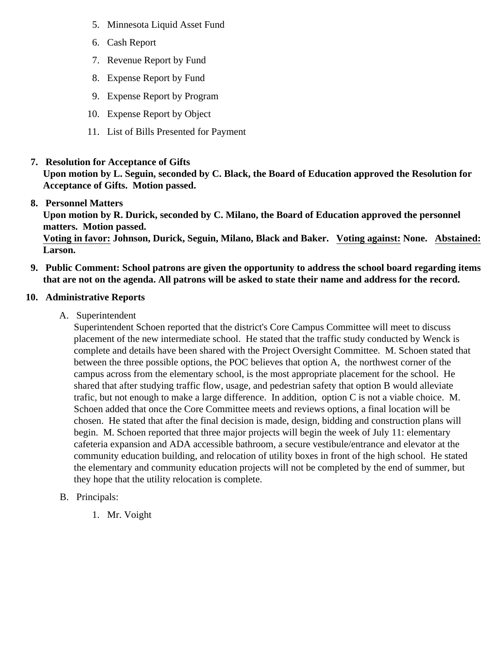- 5. [Minnesota Liquid Asset Fun](/docs/district/Business_Office/LAF_May_2016_.pdf)d
- 6. [Cash Repo](/docs/district/Business_Office/Cash_Report_May_2016.pdf)rt
- 7. [Revenue Report by Fu](/docs/district/Business_Office/SCHOOL_BOARD_REPORTS_-_REVENUE_BY_FUND_TOTAL__(Date__6_2016).pdf)nd
- 8. [Expense Report by Fu](/docs/district/Business_Office/SCHOOL_BOARD_REPORTS_-_EXP_BY_FUND_TOTAL__(Date__6_2016).pdf)nd
- 9. [Expense Report by Progra](/docs/district/Business_Office/SCHOOL_BOARD_REPORTS_-_EXPENDITURES_BY_PROGRAM__(Date__6_2016).pdf)m
- 10. [Expense Report by Obje](/docs/district/Business_Office/SCHOOL_BOARD_REPORTS_-_EXPENDITURES_BY_OBJECT__(Date__6_2016).pdf)ct
- 11. [List of Bills Presented for Payme](/docs/district/Business_Office/Monthly_Bills.pdf)nt
- 7. [Resolution for Acceptance of Gifts](/docs/district/Business_Office/Resolution_for_Acceptance_of_Gifts_6.27.16.pdf)

Upon motion by L. Seguin, seconded by C. Black, the Board of Education approved the Resolution for Acceptance of Gifts. Motion passed.

8. [Personnel Matters](/docs/district/Business_Office/06.27.16_Personnel_Items.pdf)

Upon motion by R. Durick, seconded by C. Milano, the Board of Education approved the personnel matters. Motion passed.

Voting in favor: Johnson, Durick, Seguin, Milano, Black and Baker. Voting against: None. Abstained: Larson.

- 9. Public Comment: School patrons are given the opportunity to address the school board regarding items that are not on the agenda. All patrons will be asked to state their name and address for the record.
- 10. Administrative Reports
	- A. Superintendent

Superintendent Schoen reported that the district's Core Campus Committee will meet to discuss placement of the new intermediate school. He stated that the traffic study conducted by Wenck is complete and details have been shared with the Project Oversight Committee. M. Schoen stated t between the three possible options, the POC believes that option A, the northwest corner of the campus across from the elementary school, is the most appropriate placement for the school. He shared that after studying traffic flow, usage, and pedestrian safety that option B would alleviate trafic, but not enough to make a large difference. In addition, option C is not a viable choice. M. Schoen added that once the Core Committee meets and reviews options, a final location will be chosen. He stated that after the final decision is made, design, bidding and construction plans will begin. M. Schoen reported that three major projects will begin the week of July 11: elementary cafeteria expansion and ADA accessible bathroom, a secure vestibule/entrance and elevator at the community education building, and relocation of utility boxes in front of the high school. He stated the elementary and community education projects will not be completed by the end of summer, but they hope that the utility relocation is complete.

- B. Principals:
	- 1. Mr. Voight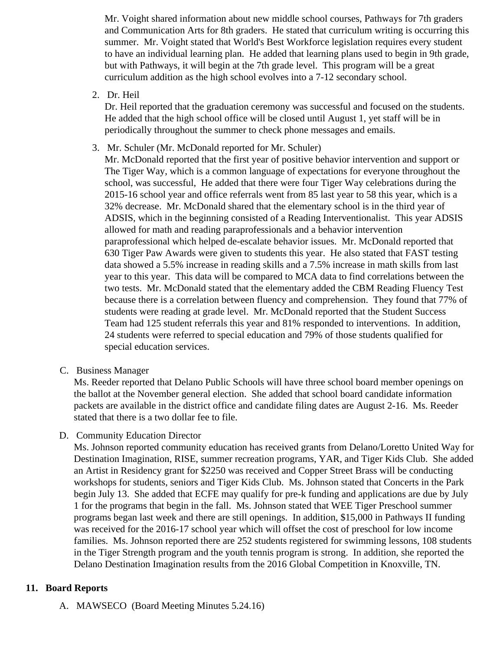Mr. Voight shared information about new middle school courses, Pathways for 7th graders and Communication Arts for 8th graders. He stated that curriculum writing is occurring this summer. Mr. Voight stated that World's Best Workforce legislation requires every student to have an individual learning plan. He added that learning plans used to begin in 9th grade, but with Pathways, it will begin at the 7th grade level. This program will be a great curriculum addition as the high school evolves into a 7-12 secondary school.

2. Dr. Heil

Dr. Heil reported that the graduation ceremony was successful and focused on the students. He added that the high school office will be closed until August 1, yet staff will be in periodically throughout the summer to check phone messages and emails.

3. Mr. Schuler (Mr. McDonald reported for Mr. Schuler)

Mr. McDonald reported that the first year of positive behavior intervention and support or The Tiger Way, which is a common language of expectations for everyone throughout the school, was successful, He added that there were four Tiger Way celebrations during the 2015-16 school year and office referrals went from 85 last year to 58 this year, which is a 32% decrease. Mr. McDonald shared that the elementary school is in the third year of ADSIS, which in the beginning consisted of a Reading Interventionalist. This year ADSIS allowed for math and reading paraprofessionals and a behavior intervention paraprofessional which helped de-escalate behavior issues. Mr. McDonald reported that 630 Tiger Paw Awards were given to students this year. He also stated that FAST testing data showed a 5.5% increase in reading skills and a 7.5% increase in math skills from last year to this year. This data will be compared to MCA data to find correlations between the two tests. Mr. McDonald stated that the elementary added the CBM Reading Fluency Test because there is a correlation between fluency and comprehension. They found that 77% of students were reading at grade level. Mr. McDonald reported that the Student Success Team had 125 student referrals this year and 81% responded to interventions. In addition, 24 students were referred to special education and 79% of those students qualified for special education services.

C. Business Manager

Ms. Reeder reported that Delano Public Schools will have three school board member openings on the ballot at the November general election. She added that school board candidate information packets are available in the district office and candidate filing dates are August 2-16. Ms. Reeder stated that there is a two dollar fee to file.

D. Community Education Director

Ms. Johnson reported community education has received grants from Delano/Loretto United Way for Destination Imagination, RISE, summer recreation programs, YAR, and Tiger Kids Club. She adde an Artist in Residency grant for \$2250 was received and Copper Street Brass will be conducting workshops for students, seniors and Tiger Kids Club. Ms. Johnson stated that Concerts in the Park begin July 13. She added that ECFE may qualify for pre-k funding and applications are due by Jul 1 for the programs that begin in the fall. Ms. Johnson stated that WEE Tiger Preschool summer programs began last week and there are still openings. In addition, \$15,000 in Pathways II funding was received for the 2016-17 school year which will offset the cost of preschool for low income families. Ms. Johnson reported there are 252 students registered for swimming lessons, 108 stude in the Tiger Strength program and the youth tennis program is strong. In addition, she reported the Delano Destination Imagination results from the 2016 Global Competition in Knoxville, TN.

## 11. Board Reports

A. [MAWSECO](/docs/district/District_Forms/MAWSECO_5.24.16_Board_minutes.pdf) (Board Meeting Minutes 5.24.16)